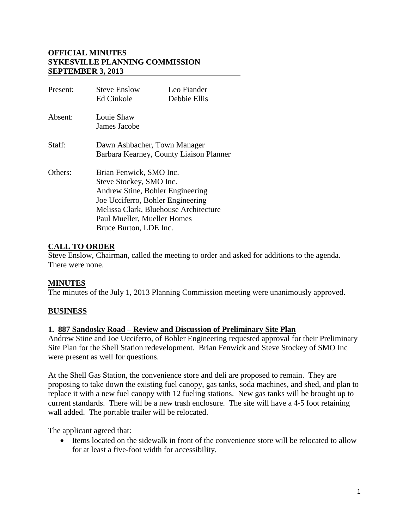### **OFFICIAL MINUTES SYKESVILLE PLANNING COMMISSION SEPTEMBER 3, 2013**

| Present: | Steve Enslow<br>Ed Cinkole                                                                                                                                                                                                    | Leo Fiander<br>Debbie Ellis |
|----------|-------------------------------------------------------------------------------------------------------------------------------------------------------------------------------------------------------------------------------|-----------------------------|
| Absent:  | Louie Shaw<br>James Jacobe                                                                                                                                                                                                    |                             |
| Staff:   | Dawn Ashbacher, Town Manager<br>Barbara Kearney, County Liaison Planner                                                                                                                                                       |                             |
| Others:  | Brian Fenwick, SMO Inc.<br>Steve Stockey, SMO Inc.<br>Andrew Stine, Bohler Engineering<br>Joe Ucciferro, Bohler Engineering<br>Melissa Clark, Bluehouse Architecture<br>Paul Mueller, Mueller Homes<br>Bruce Burton, LDE Inc. |                             |

### **CALL TO ORDER**

Steve Enslow, Chairman, called the meeting to order and asked for additions to the agenda. There were none.

### **MINUTES**

The minutes of the July 1, 2013 Planning Commission meeting were unanimously approved.

## **BUSINESS**

### **1. 887 Sandosky Road – Review and Discussion of Preliminary Site Plan**

Andrew Stine and Joe Ucciferro, of Bohler Engineering requested approval for their Preliminary Site Plan for the Shell Station redevelopment. Brian Fenwick and Steve Stockey of SMO Inc were present as well for questions.

At the Shell Gas Station, the convenience store and deli are proposed to remain. They are proposing to take down the existing fuel canopy, gas tanks, soda machines, and shed, and plan to replace it with a new fuel canopy with 12 fueling stations. New gas tanks will be brought up to current standards. There will be a new trash enclosure. The site will have a 4-5 foot retaining wall added. The portable trailer will be relocated.

The applicant agreed that:

• Items located on the sidewalk in front of the convenience store will be relocated to allow for at least a five-foot width for accessibility.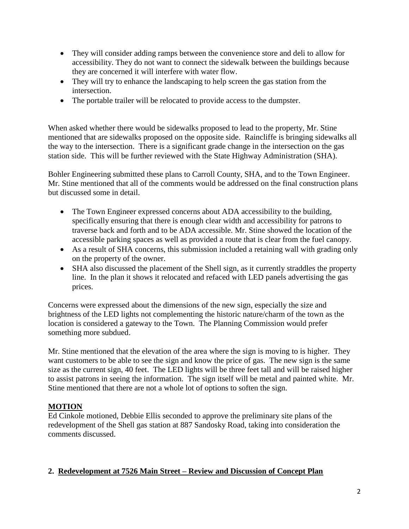- They will consider adding ramps between the convenience store and deli to allow for accessibility. They do not want to connect the sidewalk between the buildings because they are concerned it will interfere with water flow.
- They will try to enhance the landscaping to help screen the gas station from the intersection.
- The portable trailer will be relocated to provide access to the dumpster.

When asked whether there would be sidewalks proposed to lead to the property, Mr. Stine mentioned that are sidewalks proposed on the opposite side. Raincliffe is bringing sidewalks all the way to the intersection. There is a significant grade change in the intersection on the gas station side. This will be further reviewed with the State Highway Administration (SHA).

Bohler Engineering submitted these plans to Carroll County, SHA, and to the Town Engineer. Mr. Stine mentioned that all of the comments would be addressed on the final construction plans but discussed some in detail.

- The Town Engineer expressed concerns about ADA accessibility to the building, specifically ensuring that there is enough clear width and accessibility for patrons to traverse back and forth and to be ADA accessible. Mr. Stine showed the location of the accessible parking spaces as well as provided a route that is clear from the fuel canopy.
- As a result of SHA concerns, this submission included a retaining wall with grading only on the property of the owner.
- SHA also discussed the placement of the Shell sign, as it currently straddles the property line. In the plan it shows it relocated and refaced with LED panels advertising the gas prices.

Concerns were expressed about the dimensions of the new sign, especially the size and brightness of the LED lights not complementing the historic nature/charm of the town as the location is considered a gateway to the Town. The Planning Commission would prefer something more subdued.

Mr. Stine mentioned that the elevation of the area where the sign is moving to is higher. They want customers to be able to see the sign and know the price of gas. The new sign is the same size as the current sign, 40 feet. The LED lights will be three feet tall and will be raised higher to assist patrons in seeing the information. The sign itself will be metal and painted white. Mr. Stine mentioned that there are not a whole lot of options to soften the sign.

### **MOTION**

Ed Cinkole motioned, Debbie Ellis seconded to approve the preliminary site plans of the redevelopment of the Shell gas station at 887 Sandosky Road, taking into consideration the comments discussed.

### **2. Redevelopment at 7526 Main Street – Review and Discussion of Concept Plan**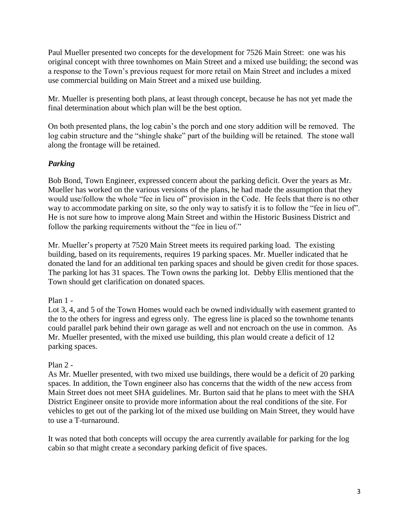Paul Mueller presented two concepts for the development for 7526 Main Street: one was his original concept with three townhomes on Main Street and a mixed use building; the second was a response to the Town's previous request for more retail on Main Street and includes a mixed use commercial building on Main Street and a mixed use building.

Mr. Mueller is presenting both plans, at least through concept, because he has not yet made the final determination about which plan will be the best option.

On both presented plans, the log cabin's the porch and one story addition will be removed. The log cabin structure and the "shingle shake" part of the building will be retained. The stone wall along the frontage will be retained.

## *Parking*

Bob Bond, Town Engineer, expressed concern about the parking deficit. Over the years as Mr. Mueller has worked on the various versions of the plans, he had made the assumption that they would use/follow the whole "fee in lieu of" provision in the Code. He feels that there is no other way to accommodate parking on site, so the only way to satisfy it is to follow the "fee in lieu of". He is not sure how to improve along Main Street and within the Historic Business District and follow the parking requirements without the "fee in lieu of."

Mr. Mueller's property at 7520 Main Street meets its required parking load. The existing building, based on its requirements, requires 19 parking spaces. Mr. Mueller indicated that he donated the land for an additional ten parking spaces and should be given credit for those spaces. The parking lot has 31 spaces. The Town owns the parking lot. Debby Ellis mentioned that the Town should get clarification on donated spaces.

### Plan 1 -

Lot 3, 4, and 5 of the Town Homes would each be owned individually with easement granted to the to the others for ingress and egress only. The egress line is placed so the townhome tenants could parallel park behind their own garage as well and not encroach on the use in common. As Mr. Mueller presented, with the mixed use building, this plan would create a deficit of 12 parking spaces.

### Plan  $2 -$

As Mr. Mueller presented, with two mixed use buildings, there would be a deficit of 20 parking spaces. In addition, the Town engineer also has concerns that the width of the new access from Main Street does not meet SHA guidelines. Mr. Burton said that he plans to meet with the SHA District Engineer onsite to provide more information about the real conditions of the site. For vehicles to get out of the parking lot of the mixed use building on Main Street, they would have to use a T-turnaround.

It was noted that both concepts will occupy the area currently available for parking for the log cabin so that might create a secondary parking deficit of five spaces.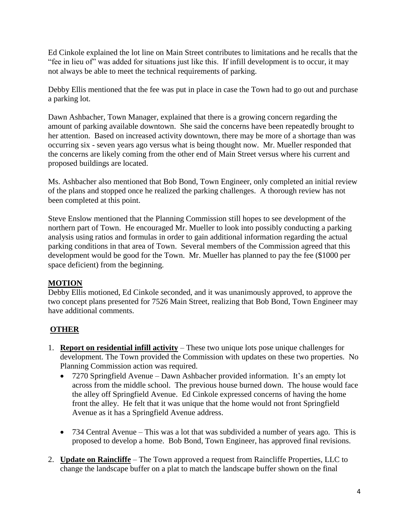Ed Cinkole explained the lot line on Main Street contributes to limitations and he recalls that the "fee in lieu of" was added for situations just like this. If infill development is to occur, it may not always be able to meet the technical requirements of parking.

Debby Ellis mentioned that the fee was put in place in case the Town had to go out and purchase a parking lot.

Dawn Ashbacher, Town Manager, explained that there is a growing concern regarding the amount of parking available downtown. She said the concerns have been repeatedly brought to her attention. Based on increased activity downtown, there may be more of a shortage than was occurring six - seven years ago versus what is being thought now. Mr. Mueller responded that the concerns are likely coming from the other end of Main Street versus where his current and proposed buildings are located.

Ms. Ashbacher also mentioned that Bob Bond, Town Engineer, only completed an initial review of the plans and stopped once he realized the parking challenges. A thorough review has not been completed at this point.

Steve Enslow mentioned that the Planning Commission still hopes to see development of the northern part of Town. He encouraged Mr. Mueller to look into possibly conducting a parking analysis using ratios and formulas in order to gain additional information regarding the actual parking conditions in that area of Town. Several members of the Commission agreed that this development would be good for the Town. Mr. Mueller has planned to pay the fee (\$1000 per space deficient) from the beginning.

## **MOTION**

Debby Ellis motioned, Ed Cinkole seconded, and it was unanimously approved, to approve the two concept plans presented for 7526 Main Street, realizing that Bob Bond, Town Engineer may have additional comments.

# **OTHER**

- 1. **Report on residential infill activity** These two unique lots pose unique challenges for development. The Town provided the Commission with updates on these two properties. No Planning Commission action was required.
	- 7270 Springfield Avenue Dawn Ashbacher provided information. It's an empty lot across from the middle school. The previous house burned down. The house would face the alley off Springfield Avenue. Ed Cinkole expressed concerns of having the home front the alley. He felt that it was unique that the home would not front Springfield Avenue as it has a Springfield Avenue address.
	- 734 Central Avenue This was a lot that was subdivided a number of years ago. This is proposed to develop a home. Bob Bond, Town Engineer, has approved final revisions.
- 2. **Update on Raincliffe** The Town approved a request from Raincliffe Properties, LLC to change the landscape buffer on a plat to match the landscape buffer shown on the final